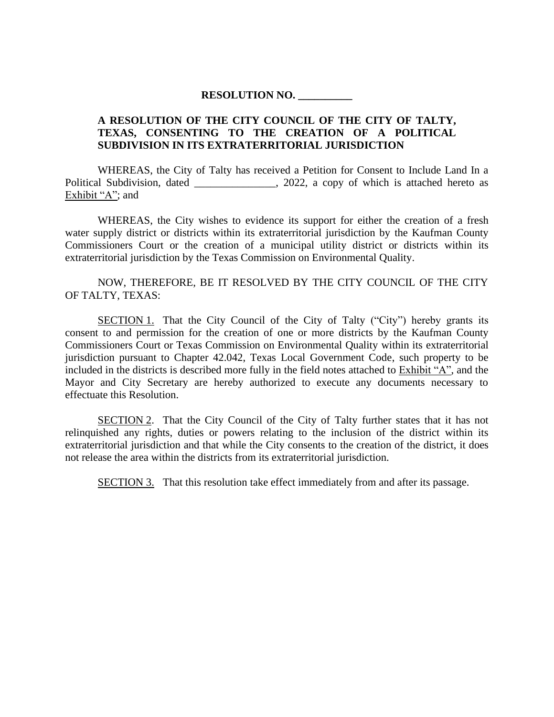## **RESOLUTION NO. \_\_\_\_\_\_\_\_\_\_**

## **A RESOLUTION OF THE CITY COUNCIL OF THE CITY OF TALTY, TEXAS, CONSENTING TO THE CREATION OF A POLITICAL SUBDIVISION IN ITS EXTRATERRITORIAL JURISDICTION**

WHEREAS, the City of Talty has received a Petition for Consent to Include Land In a Political Subdivision, dated \_\_\_\_\_\_\_\_\_\_\_\_\_, 2022, a copy of which is attached hereto as Exhibit "A"; and

WHEREAS, the City wishes to evidence its support for either the creation of a fresh water supply district or districts within its extraterritorial jurisdiction by the Kaufman County Commissioners Court or the creation of a municipal utility district or districts within its extraterritorial jurisdiction by the Texas Commission on Environmental Quality.

NOW, THEREFORE, BE IT RESOLVED BY THE CITY COUNCIL OF THE CITY OF TALTY, TEXAS:

SECTION 1. That the City Council of the City of Talty ("City") hereby grants its consent to and permission for the creation of one or more districts by the Kaufman County Commissioners Court or Texas Commission on Environmental Quality within its extraterritorial jurisdiction pursuant to Chapter 42.042, Texas Local Government Code, such property to be included in the districts is described more fully in the field notes attached to Exhibit "A", and the Mayor and City Secretary are hereby authorized to execute any documents necessary to effectuate this Resolution.

SECTION 2. That the City Council of the City of Talty further states that it has not relinquished any rights, duties or powers relating to the inclusion of the district within its extraterritorial jurisdiction and that while the City consents to the creation of the district, it does not release the area within the districts from its extraterritorial jurisdiction.

SECTION 3. That this resolution take effect immediately from and after its passage.